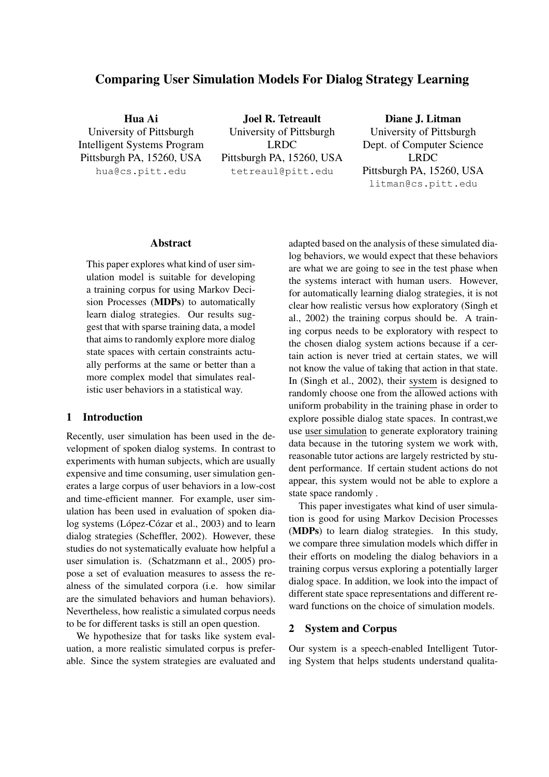# Comparing User Simulation Models For Dialog Strategy Learning

Hua Ai University of Pittsburgh Intelligent Systems Program Pittsburgh PA, 15260, USA hua@cs.pitt.edu

Joel R. Tetreault University of Pittsburgh LRDC Pittsburgh PA, 15260, USA tetreaul@pitt.edu

Diane J. Litman University of Pittsburgh Dept. of Computer Science LRDC Pittsburgh PA, 15260, USA litman@cs.pitt.edu

#### Abstract

This paper explores what kind of user simulation model is suitable for developing a training corpus for using Markov Decision Processes (MDPs) to automatically learn dialog strategies. Our results suggest that with sparse training data, a model that aims to randomly explore more dialog state spaces with certain constraints actually performs at the same or better than a more complex model that simulates realistic user behaviors in a statistical way.

# 1 Introduction

Recently, user simulation has been used in the development of spoken dialog systems. In contrast to experiments with human subjects, which are usually expensive and time consuming, user simulation generates a large corpus of user behaviors in a low-cost and time-efficient manner. For example, user simulation has been used in evaluation of spoken dialog systems (López-Cózar et al., 2003) and to learn dialog strategies (Scheffler, 2002). However, these studies do not systematically evaluate how helpful a user simulation is. (Schatzmann et al., 2005) propose a set of evaluation measures to assess the realness of the simulated corpora (i.e. how similar are the simulated behaviors and human behaviors). Nevertheless, how realistic a simulated corpus needs to be for different tasks is still an open question.

We hypothesize that for tasks like system evaluation, a more realistic simulated corpus is preferable. Since the system strategies are evaluated and adapted based on the analysis of these simulated dialog behaviors, we would expect that these behaviors are what we are going to see in the test phase when the systems interact with human users. However, for automatically learning dialog strategies, it is not clear how realistic versus how exploratory (Singh et al., 2002) the training corpus should be. A training corpus needs to be exploratory with respect to the chosen dialog system actions because if a certain action is never tried at certain states, we will not know the value of taking that action in that state. In (Singh et al., 2002), their system is designed to randomly choose one from the allowed actions with uniform probability in the training phase in order to explore possible dialog state spaces. In contrast,we use user simulation to generate exploratory training data because in the tutoring system we work with, reasonable tutor actions are largely restricted by student performance. If certain student actions do not appear, this system would not be able to explore a state space randomly .

This paper investigates what kind of user simulation is good for using Markov Decision Processes (MDPs) to learn dialog strategies. In this study, we compare three simulation models which differ in their efforts on modeling the dialog behaviors in a training corpus versus exploring a potentially larger dialog space. In addition, we look into the impact of different state space representations and different reward functions on the choice of simulation models.

## 2 System and Corpus

Our system is a speech-enabled Intelligent Tutoring System that helps students understand qualita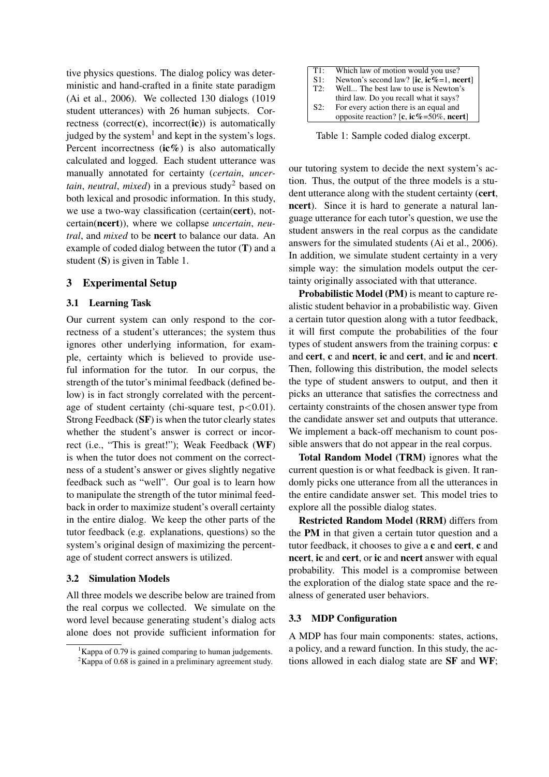tive physics questions. The dialog policy was deterministic and hand-crafted in a finite state paradigm (Ai et al., 2006). We collected 130 dialogs (1019 student utterances) with 26 human subjects. Correctness (correct( $\dot{\mathbf{c}}$ ), incorrect( $\dot{\mathbf{ic}}$ )) is automatically judged by the system<sup>1</sup> and kept in the system's logs. Percent incorrectness (ic%) is also automatically calculated and logged. Each student utterance was manually annotated for certainty (*certain*, *uncertain, neutral, mixed*) in a previous study<sup>2</sup> based on both lexical and prosodic information. In this study, we use a two-way classification (certain(cert), notcertain(ncert)), where we collapse *uncertain*, *neutral*, and *mixed* to be ncert to balance our data. An example of coded dialog between the tutor (T) and a student (S) is given in Table 1.

# 3 Experimental Setup

## 3.1 Learning Task

Our current system can only respond to the correctness of a student's utterances; the system thus ignores other underlying information, for example, certainty which is believed to provide useful information for the tutor. In our corpus, the strength of the tutor's minimal feedback (defined below) is in fact strongly correlated with the percentage of student certainty (chi-square test,  $p < 0.01$ ). Strong Feedback (SF) is when the tutor clearly states whether the student's answer is correct or incorrect (i.e., "This is great!"); Weak Feedback (WF) is when the tutor does not comment on the correctness of a student's answer or gives slightly negative feedback such as "well". Our goal is to learn how to manipulate the strength of the tutor minimal feedback in order to maximize student's overall certainty in the entire dialog. We keep the other parts of the tutor feedback (e.g. explanations, questions) so the system's original design of maximizing the percentage of student correct answers is utilized.

#### 3.2 Simulation Models

All three models we describe below are trained from the real corpus we collected. We simulate on the word level because generating student's dialog acts alone does not provide sufficient information for

| T1: | Which law of motion would you use?      |
|-----|-----------------------------------------|
| S1: | Newton's second law? [ic, ic%=1, ncert] |
| T2: | Well The best law to use is Newton's    |
|     | third law. Do you recall what it says?  |
| S2: | For every action there is an equal and  |
|     | opposite reaction? [c, ic%=50%, ncert]  |

Table 1: Sample coded dialog excerpt.

our tutoring system to decide the next system's action. Thus, the output of the three models is a student utterance along with the student certainty (cert, ncert). Since it is hard to generate a natural language utterance for each tutor's question, we use the student answers in the real corpus as the candidate answers for the simulated students (Ai et al., 2006). In addition, we simulate student certainty in a very simple way: the simulation models output the certainty originally associated with that utterance.

Probabilistic Model (PM) is meant to capture realistic student behavior in a probabilistic way. Given a certain tutor question along with a tutor feedback, it will first compute the probabilities of the four types of student answers from the training corpus: c and cert, c and ncert, ic and cert, and ic and ncert. Then, following this distribution, the model selects the type of student answers to output, and then it picks an utterance that satisfies the correctness and certainty constraints of the chosen answer type from the candidate answer set and outputs that utterance. We implement a back-off mechanism to count possible answers that do not appear in the real corpus.

Total Random Model (TRM) ignores what the current question is or what feedback is given. It randomly picks one utterance from all the utterances in the entire candidate answer set. This model tries to explore all the possible dialog states.

Restricted Random Model (RRM) differs from the PM in that given a certain tutor question and a tutor feedback, it chooses to give a c and cert, c and ncert, ic and cert, or ic and ncert answer with equal probability. This model is a compromise between the exploration of the dialog state space and the realness of generated user behaviors.

### 3.3 MDP Configuration

A MDP has four main components: states, actions, a policy, and a reward function. In this study, the actions allowed in each dialog state are SF and WF;

<sup>&</sup>lt;sup>1</sup>Kappa of 0.79 is gained comparing to human judgements.  $2$ Kappa of 0.68 is gained in a preliminary agreement study.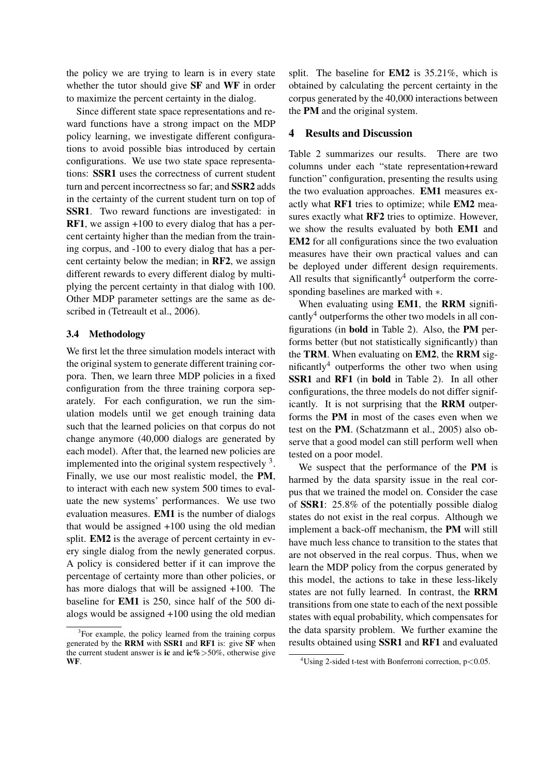the policy we are trying to learn is in every state whether the tutor should give SF and WF in order to maximize the percent certainty in the dialog.

Since different state space representations and reward functions have a strong impact on the MDP policy learning, we investigate different configurations to avoid possible bias introduced by certain configurations. We use two state space representations: SSR1 uses the correctness of current student turn and percent incorrectness so far; and SSR2 adds in the certainty of the current student turn on top of SSR1. Two reward functions are investigated: in RF1, we assign +100 to every dialog that has a percent certainty higher than the median from the training corpus, and -100 to every dialog that has a percent certainty below the median; in RF2, we assign different rewards to every different dialog by multiplying the percent certainty in that dialog with 100. Other MDP parameter settings are the same as described in (Tetreault et al., 2006).

# 3.4 Methodology

We first let the three simulation models interact with the original system to generate different training corpora. Then, we learn three MDP policies in a fixed configuration from the three training corpora separately. For each configuration, we run the simulation models until we get enough training data such that the learned policies on that corpus do not change anymore (40,000 dialogs are generated by each model). After that, the learned new policies are implemented into the original system respectively  $3$ . Finally, we use our most realistic model, the PM, to interact with each new system 500 times to evaluate the new systems' performances. We use two evaluation measures. EM1 is the number of dialogs that would be assigned +100 using the old median split. EM2 is the average of percent certainty in every single dialog from the newly generated corpus. A policy is considered better if it can improve the percentage of certainty more than other policies, or has more dialogs that will be assigned +100. The baseline for EM1 is 250, since half of the 500 dialogs would be assigned +100 using the old median split. The baseline for EM2 is 35.21%, which is obtained by calculating the percent certainty in the corpus generated by the 40,000 interactions between the PM and the original system.

## 4 Results and Discussion

Table 2 summarizes our results. There are two columns under each "state representation+reward function" configuration, presenting the results using the two evaluation approaches. EM1 measures exactly what RF1 tries to optimize; while EM2 measures exactly what RF2 tries to optimize. However, we show the results evaluated by both EM1 and EM2 for all configurations since the two evaluation measures have their own practical values and can be deployed under different design requirements. All results that significantly<sup>4</sup> outperform the corresponding baselines are marked with ∗.

When evaluating using **EM1**, the **RRM** significantly $4$  outperforms the other two models in all configurations (in bold in Table 2). Also, the PM performs better (but not statistically significantly) than the TRM. When evaluating on EM2, the RRM significantly<sup>4</sup> outperforms the other two when using SSR1 and RF1 (in bold in Table 2). In all other configurations, the three models do not differ significantly. It is not surprising that the RRM outperforms the PM in most of the cases even when we test on the PM. (Schatzmann et al., 2005) also observe that a good model can still perform well when tested on a poor model.

We suspect that the performance of the PM is harmed by the data sparsity issue in the real corpus that we trained the model on. Consider the case of SSR1: 25.8% of the potentially possible dialog states do not exist in the real corpus. Although we implement a back-off mechanism, the PM will still have much less chance to transition to the states that are not observed in the real corpus. Thus, when we learn the MDP policy from the corpus generated by this model, the actions to take in these less-likely states are not fully learned. In contrast, the RRM transitions from one state to each of the next possible states with equal probability, which compensates for the data sparsity problem. We further examine the results obtained using SSR1 and RF1 and evaluated

<sup>&</sup>lt;sup>3</sup>For example, the policy learned from the training corpus generated by the RRM with SSR1 and RF1 is: give SF when the current student answer is **ic** and  $i\textbf{c}\% > 50\%$ , otherwise give WF.

<sup>&</sup>lt;sup>4</sup>Using 2-sided t-test with Bonferroni correction,  $p < 0.05$ .